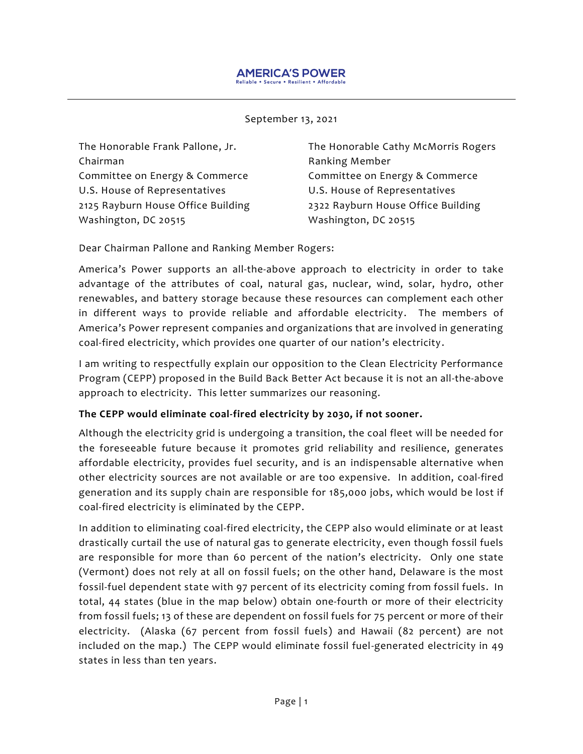#### September 13, 2021

The Honorable Frank Pallone, Jr. Chairman Committee on Energy & Commerce U.S. House of Representatives 2125 Rayburn House Office Building Washington, DC 20515

The Honorable Cathy McMorris Rogers Ranking Member Committee on Energy & Commerce U.S. House of Representatives [2322 Rayburn House Office Building](https://www.google.com/maps?q=2322+Rayburn+House+Office+Building%3Cbr+%2F%3E%0D%0AWashington%2C+D.C.+20515) [Washington, DC 20515](https://www.google.com/maps?q=2322+Rayburn+House+Office+Building%3Cbr+%2F%3E%0D%0AWashington%2C+D.C.+20515)

Dear Chairman Pallone and Ranking Member Rogers:

America's Power supports an all-the-above approach to electricity in order to take advantage of the attributes of coal, natural gas, nuclear, wind, solar, hydro, other renewables, and battery storage because these resources can complement each other in different ways to provide reliable and affordable electricity. The members of America's Power represent companies and organizations that are involved in generating coal-fired electricity, which provides one quarter of our nation's electricity.

I am writing to respectfully explain our opposition to the Clean Electricity Performance Program (CEPP) proposed in the Build Back Better Act because it is not an all-the-above approach to electricity. This letter summarizes our reasoning.

#### **The CEPP would eliminate coal-fired electricity by 2030, if not sooner.**

Although the electricity grid is undergoing a transition, the coal fleet will be needed for the foreseeable future because it promotes grid reliability and resilience, generates affordable electricity, provides fuel security, and is an indispensable alternative when other electricity sources are not available or are too expensive. In addition, coal-fired generation and its supply chain are responsible for 185,000 jobs, which would be lost if coal-fired electricity is eliminated by the CEPP.

In addition to eliminating coal-fired electricity, the CEPP also would eliminate or at least drastically curtail the use of natural gas to generate electricity, even though fossil fuels are responsible for more than 60 percent of the nation's electricity. Only one state (Vermont) does not rely at all on fossil fuels; on the other hand, Delaware is the most fossil-fuel dependent state with 97 percent of its electricity coming from fossil fuels. In total, 44 states (blue in the map below) obtain one-fourth or more of their electricity from fossil fuels; 13 of these are dependent on fossil fuels for 75 percent or more of their electricity. (Alaska (67 percent from fossil fuels) and Hawaii (82 percent) are not included on the map.) The CEPP would eliminate fossil fuel-generated electricity in 49 states in less than ten years.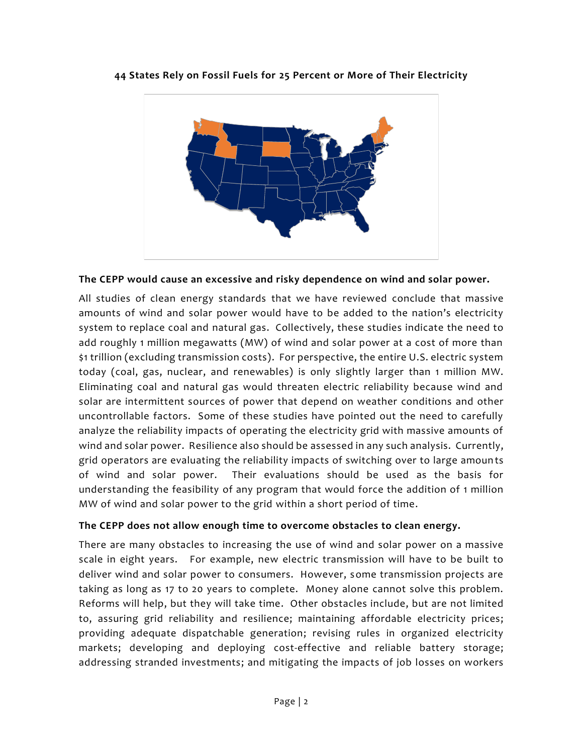

**44 States Rely on Fossil Fuels for 25 Percent or More of Their Electricity**

#### **The CEPP would cause an excessive and risky dependence on wind and solar power.**

All studies of clean energy standards that we have reviewed conclude that massive amounts of wind and solar power would have to be added to the nation's electricity system to replace coal and natural gas. Collectively, these studies indicate the need to add roughly 1 million megawatts (MW) of wind and solar power at a cost of more than \$1 trillion (excluding transmission costs). For perspective, the entire U.S. electric system today (coal, gas, nuclear, and renewables) is only slightly larger than 1 million MW. Eliminating coal and natural gas would threaten electric reliability because wind and solar are intermittent sources of power that depend on weather conditions and other uncontrollable factors. Some of these studies have pointed out the need to carefully analyze the reliability impacts of operating the electricity grid with massive amounts of wind and solar power. Resilience also should be assessed in any such analysis. Currently, grid operators are evaluating the reliability impacts of switching over to large amounts of wind and solar power. Their evaluations should be used as the basis for understanding the feasibility of any program that would force the addition of 1 million MW of wind and solar power to the grid within a short period of time.

### **The CEPP does not allow enough time to overcome obstacles to clean energy.**

There are many obstacles to increasing the use of wind and solar power on a massive scale in eight years. For example, new electric transmission will have to be built to deliver wind and solar power to consumers. However, some transmission projects are taking as long as 17 to 20 years to complete. Money alone cannot solve this problem. Reforms will help, but they will take time. Other obstacles include, but are not limited to, assuring grid reliability and resilience; maintaining affordable electricity prices; providing adequate dispatchable generation; revising rules in organized electricity markets; developing and deploying cost-effective and reliable battery storage; addressing stranded investments; and mitigating the impacts of job losses on workers